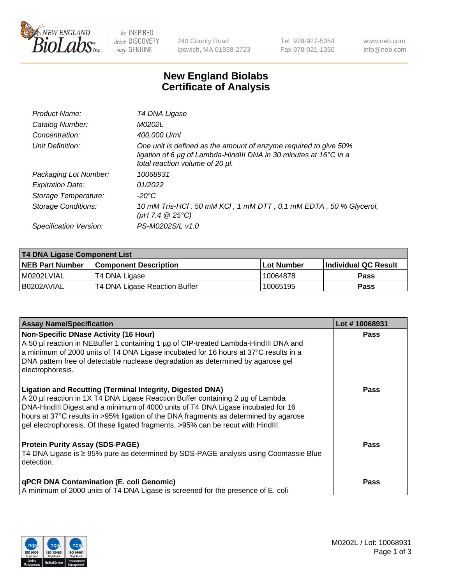

 $be$  INSPIRED drive DISCOVERY stay GENUINE

240 County Road Ipswich, MA 01938-2723 Tel 978-927-5054 Fax 978-921-1350 www.neb.com info@neb.com

## **New England Biolabs Certificate of Analysis**

| Product Name:              | T4 DNA Ligase                                                                                                                                                            |
|----------------------------|--------------------------------------------------------------------------------------------------------------------------------------------------------------------------|
| Catalog Number:            | M0202L                                                                                                                                                                   |
| Concentration:             | 400,000 U/ml                                                                                                                                                             |
| Unit Definition:           | One unit is defined as the amount of enzyme required to give 50%<br>ligation of 6 µg of Lambda-HindIII DNA in 30 minutes at 16°C in a<br>total reaction volume of 20 µl. |
| Packaging Lot Number:      | 10068931                                                                                                                                                                 |
| <b>Expiration Date:</b>    | 01/2022                                                                                                                                                                  |
| Storage Temperature:       | -20°C                                                                                                                                                                    |
| <b>Storage Conditions:</b> | 10 mM Tris-HCl, 50 mM KCl, 1 mM DTT, 0.1 mM EDTA, 50 % Glycerol,<br>(pH 7.4 $@25°C$ )                                                                                    |
| Specification Version:     | PS-M0202S/L v1.0                                                                                                                                                         |

| T4 DNA Ligase Component List |                               |              |                             |  |  |
|------------------------------|-------------------------------|--------------|-----------------------------|--|--|
| <b>NEB Part Number</b>       | <b>Component Description</b>  | l Lot Number | <b>Individual QC Result</b> |  |  |
| M0202LVIAL                   | T4 DNA Ligase                 | 10064878     | <b>Pass</b>                 |  |  |
| I B0202AVIAL                 | T4 DNA Ligase Reaction Buffer | 10065195     | <b>Pass</b>                 |  |  |

| <b>Assay Name/Specification</b>                                                                                                                                                                                                                                                                                                                                                                                    | Lot #10068931 |
|--------------------------------------------------------------------------------------------------------------------------------------------------------------------------------------------------------------------------------------------------------------------------------------------------------------------------------------------------------------------------------------------------------------------|---------------|
| <b>Non-Specific DNase Activity (16 Hour)</b><br>A 50 µl reaction in NEBuffer 1 containing 1 µg of CIP-treated Lambda-HindIII DNA and<br>a minimum of 2000 units of T4 DNA Ligase incubated for 16 hours at 37°C results in a<br>DNA pattern free of detectable nuclease degradation as determined by agarose gel<br>electrophoresis.                                                                               | <b>Pass</b>   |
| <b>Ligation and Recutting (Terminal Integrity, Digested DNA)</b><br>A 20 µl reaction in 1X T4 DNA Ligase Reaction Buffer containing 2 µg of Lambda<br>DNA-HindIII Digest and a minimum of 4000 units of T4 DNA Ligase incubated for 16<br>hours at 37°C results in >95% ligation of the DNA fragments as determined by agarose<br>gel electrophoresis. Of these ligated fragments, >95% can be recut with HindIII. | Pass          |
| <b>Protein Purity Assay (SDS-PAGE)</b><br>T4 DNA Ligase is ≥ 95% pure as determined by SDS-PAGE analysis using Coomassie Blue<br>detection.                                                                                                                                                                                                                                                                        | <b>Pass</b>   |
| <b>qPCR DNA Contamination (E. coli Genomic)</b><br>A minimum of 2000 units of T4 DNA Ligase is screened for the presence of E. coli                                                                                                                                                                                                                                                                                | <b>Pass</b>   |

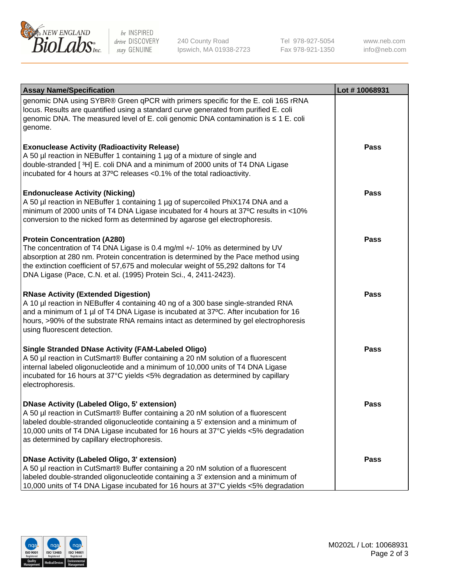

be INSPIRED drive DISCOVERY stay GENUINE

240 County Road Ipswich, MA 01938-2723 Tel 978-927-5054 Fax 978-921-1350

www.neb.com info@neb.com

| <b>Assay Name/Specification</b>                                                                                                                                                                                                                                                                                                                                      | Lot #10068931 |
|----------------------------------------------------------------------------------------------------------------------------------------------------------------------------------------------------------------------------------------------------------------------------------------------------------------------------------------------------------------------|---------------|
| genomic DNA using SYBR® Green qPCR with primers specific for the E. coli 16S rRNA<br>locus. Results are quantified using a standard curve generated from purified E. coli<br>genomic DNA. The measured level of E. coli genomic DNA contamination is ≤ 1 E. coli<br>genome.                                                                                          |               |
| <b>Exonuclease Activity (Radioactivity Release)</b><br>A 50 µl reaction in NEBuffer 1 containing 1 µg of a mixture of single and<br>double-stranded [3H] E. coli DNA and a minimum of 2000 units of T4 DNA Ligase<br>incubated for 4 hours at 37°C releases <0.1% of the total radioactivity.                                                                        | <b>Pass</b>   |
| <b>Endonuclease Activity (Nicking)</b><br>A 50 µl reaction in NEBuffer 1 containing 1 µg of supercoiled PhiX174 DNA and a<br>minimum of 2000 units of T4 DNA Ligase incubated for 4 hours at 37°C results in <10%<br>conversion to the nicked form as determined by agarose gel electrophoresis.                                                                     | Pass          |
| <b>Protein Concentration (A280)</b><br>The concentration of T4 DNA Ligase is 0.4 mg/ml +/- 10% as determined by UV<br>absorption at 280 nm. Protein concentration is determined by the Pace method using<br>the extinction coefficient of 57,675 and molecular weight of 55,292 daltons for T4<br>DNA Ligase (Pace, C.N. et al. (1995) Protein Sci., 4, 2411-2423).  | Pass          |
| <b>RNase Activity (Extended Digestion)</b><br>A 10 µl reaction in NEBuffer 4 containing 40 ng of a 300 base single-stranded RNA<br>and a minimum of 1 µl of T4 DNA Ligase is incubated at 37°C. After incubation for 16<br>hours, >90% of the substrate RNA remains intact as determined by gel electrophoresis<br>using fluorescent detection.                      | <b>Pass</b>   |
| <b>Single Stranded DNase Activity (FAM-Labeled Oligo)</b><br>A 50 µl reaction in CutSmart® Buffer containing a 20 nM solution of a fluorescent<br>internal labeled oligonucleotide and a minimum of 10,000 units of T4 DNA Ligase<br>incubated for 16 hours at 37°C yields <5% degradation as determined by capillary<br>electrophoresis.                            | <b>Pass</b>   |
| <b>DNase Activity (Labeled Oligo, 5' extension)</b><br>A 50 µl reaction in CutSmart® Buffer containing a 20 nM solution of a fluorescent<br>labeled double-stranded oligonucleotide containing a 5' extension and a minimum of<br>10,000 units of T4 DNA Ligase incubated for 16 hours at 37°C yields <5% degradation<br>as determined by capillary electrophoresis. | Pass          |
| <b>DNase Activity (Labeled Oligo, 3' extension)</b><br>A 50 µl reaction in CutSmart® Buffer containing a 20 nM solution of a fluorescent<br>labeled double-stranded oligonucleotide containing a 3' extension and a minimum of<br>10,000 units of T4 DNA Ligase incubated for 16 hours at 37°C yields <5% degradation                                                | Pass          |